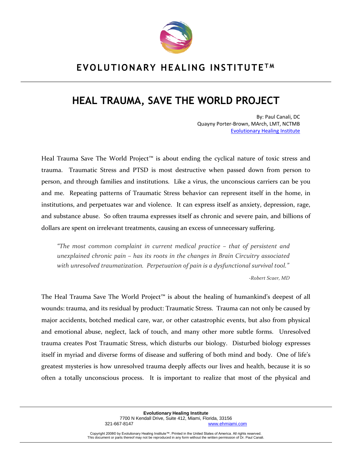

# **HEAL TRAUMA, SAVE THE WORLD PROJECT**

By: Paul Canali, DC Quayny Porter-Brown, MArch, LMT, NCTMB [Evolutionary Healing Institute](http://www.evolutionaryhealinginstitute.com/)

Heal Trauma Save The World Project<sup>™</sup> is about ending the cyclical nature of toxic stress and trauma. Traumatic Stress and PTSD is most destructive when passed down from person to person, and through families and institutions. Like a virus, the unconscious carriers can be you and me. Repeating patterns of Traumatic Stress behavior can represent itself in the home, in institutions, and perpetuates war and violence. It can express itself as anxiety, depression, rage, and substance abuse. So often trauma expresses itself as chronic and severe pain, and billions of dollars are spent on irrelevant treatments, causing an excess of unnecessary suffering.

*"The most common complaint in current medical practice – that of persistent and unexplained chronic pain – has its roots in the changes in Brain Circuitry associated with unresolved traumatization. Perpetuation of pain is a dysfunctional survival tool."*

*-Robert Scaer, MD*

The Heal Trauma Save The World Project™ is about the healing of humankind's deepest of all wounds: trauma, and its residual by product: Traumatic Stress. Trauma can not only be caused by major accidents, botched medical care, war, or other catastrophic events, but also from physical and emotional abuse, neglect, lack of touch, and many other more subtle forms. Unresolved trauma creates Post Traumatic Stress, which disturbs our biology. Disturbed biology expresses itself in myriad and diverse forms of disease and suffering of both mind and body. One of life's greatest mysteries is how unresolved trauma deeply affects our lives and health, because it is so often a totally unconscious process. It is important to realize that most of the physical and

> **Evolutionary Healing Institute** 7700 N Kendall Drive, Suite 412, Miami, Florida, 33156 [www.ehmiami.com](http://www.ehmiami.com/)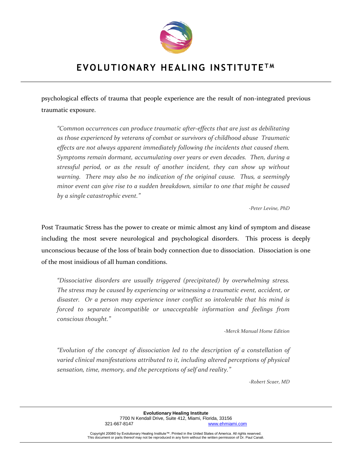

psychological effects of trauma that people experience are the result of non-integrated previous traumatic exposure.

*"Common occurrences can produce traumatic after-effects that are just as debilitating as those experienced by veterans of combat or survivors of childhood abuse Traumatic effects are not always apparent immediately following the incidents that caused them. Symptoms remain dormant, accumulating over years or even decades. Then, during a stressful period, or as the result of another incident, they can show up without warning. There may also be no indication of the original cause. Thus, a seemingly minor event can give rise to a sudden breakdown, similar to one that might be caused by a single catastrophic event."*

*-Peter Levine, PhD*

Post Traumatic Stress has the power to create or mimic almost any kind of symptom and disease including the most severe neurological and psychological disorders. This process is deeply unconscious because of the loss of brain body connection due to dissociation. Dissociation is one of the most insidious of all human conditions.

*"Dissociative disorders are usually triggered (precipitated) by overwhelming stress. The stress may be caused by experiencing or witnessing a traumatic event, accident, or disaster. Or a person may experience inner conflict so intolerable that his mind is forced to separate incompatible or unacceptable information and feelings from conscious thought."*

*-Merck Manual Home Edition*

*"Evolution of the concept of dissociation led to the description of a constellation of varied clinical manifestations attributed to it, including altered perceptions of physical sensation, time, memory, and the perceptions of self and reality."*

*-Robert Scaer, MD*

**Evolutionary Healing Institute** 7700 N Kendall Drive, Suite 412, Miami, Florida, 33156 [www.ehmiami.com](http://www.ehmiami.com/)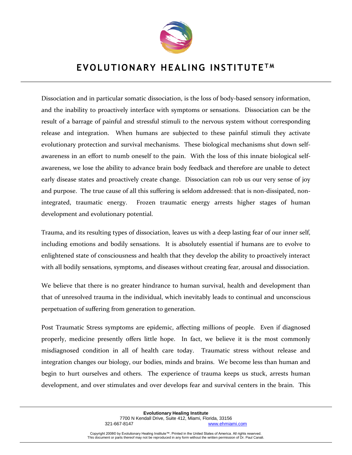

Dissociation and in particular somatic dissociation, is the loss of body-based sensory information, and the inability to proactively interface with symptoms or sensations. Dissociation can be the result of a barrage of painful and stressful stimuli to the nervous system without corresponding release and integration. When humans are subjected to these painful stimuli they activate evolutionary protection and survival mechanisms. These biological mechanisms shut down selfawareness in an effort to numb oneself to the pain. With the loss of this innate biological selfawareness, we lose the ability to advance brain body feedback and therefore are unable to detect early disease states and proactively create change. Dissociation can rob us our very sense of joy and purpose. The true cause of all this suffering is seldom addressed: that is non-dissipated, nonintegrated, traumatic energy. Frozen traumatic energy arrests higher stages of human development and evolutionary potential.

Trauma, and its resulting types of dissociation, leaves us with a deep lasting fear of our inner self, including emotions and bodily sensations. It is absolutely essential if humans are to evolve to enlightened state of consciousness and health that they develop the ability to proactively interact with all bodily sensations, symptoms, and diseases without creating fear, arousal and dissociation.

We believe that there is no greater hindrance to human survival, health and development than that of unresolved trauma in the individual, which inevitably leads to continual and unconscious perpetuation of suffering from generation to generation.

Post Traumatic Stress symptoms are epidemic, affecting millions of people. Even if diagnosed properly, medicine presently offers little hope. In fact, we believe it is the most commonly misdiagnosed condition in all of health care today. Traumatic stress without release and integration changes our biology, our bodies, minds and brains. We become less than human and begin to hurt ourselves and others. The experience of trauma keeps us stuck, arrests human development, and over stimulates and over develops fear and survival centers in the brain. This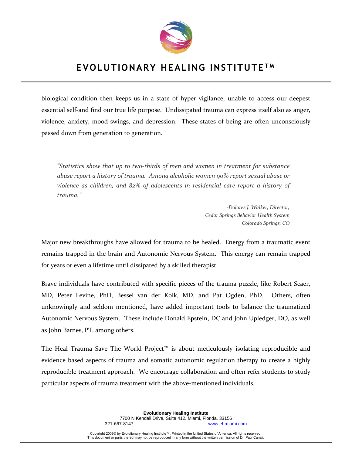

biological condition then keeps us in a state of hyper vigilance, unable to access our deepest essential self-and find our true life purpose. Undissipated trauma can express itself also as anger, violence, anxiety, mood swings, and depression. These states of being are often unconsciously passed down from generation to generation.

*"Statistics show that up to two-thirds of men and women in treatment for substance abuse report a history of trauma. Among alcoholic women 90% report sexual abuse or violence as children, and 82% of adolescents in residential care report a history of trauma."*

> *-Dolores J. Walker, Director, Cedar Springs Behavior Health System Colorado Springs, CO*

Major new breakthroughs have allowed for trauma to be healed. Energy from a traumatic event remains trapped in the brain and Autonomic Nervous System. This energy can remain trapped for years or even a lifetime until dissipated by a skilled therapist.

Brave individuals have contributed with specific pieces of the trauma puzzle, like Robert Scaer, MD, Peter Levine, PhD, Bessel van der Kolk, MD, and Pat Ogden, PhD. Others, often unknowingly and seldom mentioned, have added important tools to balance the traumatized Autonomic Nervous System. These include Donald Epstein, DC and John Upledger, DO, as well as John Barnes, PT, among others.

The Heal Trauma Save The World Project™ is about meticulously isolating reproducible and evidence based aspects of trauma and somatic autonomic regulation therapy to create a highly reproducible treatment approach. We encourage collaboration and often refer students to study particular aspects of trauma treatment with the above-mentioned individuals.

> **Evolutionary Healing Institute** 7700 N Kendall Drive, Suite 412, Miami, Florida, 33156 [www.ehmiami.com](http://www.ehmiami.com/)